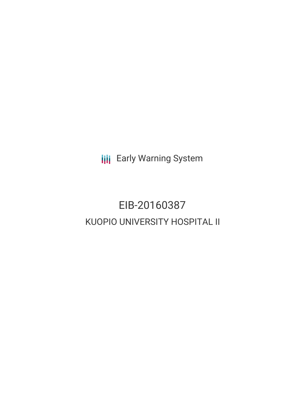**III** Early Warning System

# EIB-20160387 KUOPIO UNIVERSITY HOSPITAL II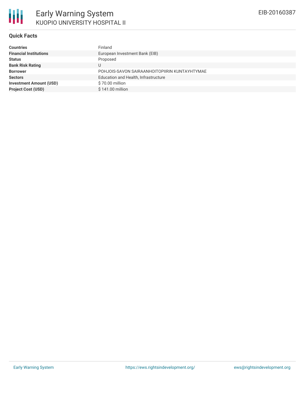#### **Quick Facts**

| <b>Countries</b>               | Finland                                       |
|--------------------------------|-----------------------------------------------|
| <b>Financial Institutions</b>  | European Investment Bank (EIB)                |
| <b>Status</b>                  | Proposed                                      |
| <b>Bank Risk Rating</b>        |                                               |
| <b>Borrower</b>                | POHJOIS-SAVON SAIRAANHOITOPIIRIN KUNTAYHTYMAE |
| <b>Sectors</b>                 | Education and Health, Infrastructure          |
| <b>Investment Amount (USD)</b> | \$70.00 million                               |
| <b>Project Cost (USD)</b>      | \$141.00 million                              |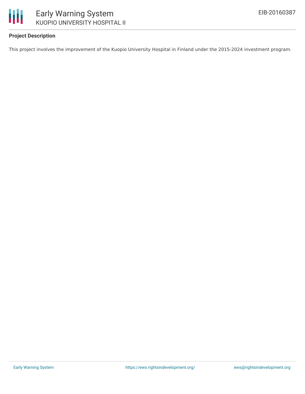

## **Project Description**

This project involves the improvement of the Kuopio University Hospital in Finland under the 2015-2024 investment program.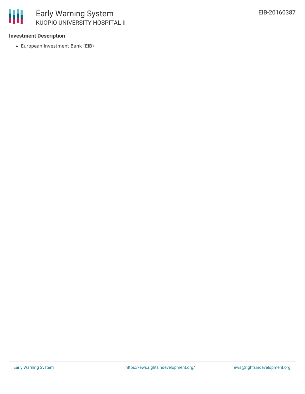

#### **Investment Description**

European Investment Bank (EIB)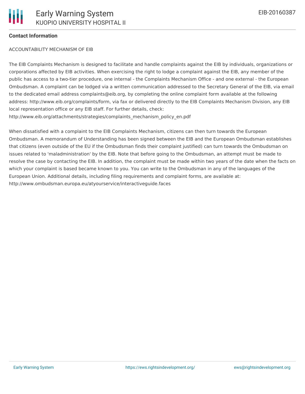# **Contact Information**

## ACCOUNTABILITY MECHANISM OF EIB

The EIB Complaints Mechanism is designed to facilitate and handle complaints against the EIB by individuals, organizations or corporations affected by EIB activities. When exercising the right to lodge a complaint against the EIB, any member of the public has access to a two-tier procedure, one internal - the Complaints Mechanism Office - and one external - the European Ombudsman. A complaint can be lodged via a written communication addressed to the Secretary General of the EIB, via email to the dedicated email address complaints@eib.org, by completing the online complaint form available at the following address: http://www.eib.org/complaints/form, via fax or delivered directly to the EIB Complaints Mechanism Division, any EIB local representation office or any EIB staff. For further details, check: http://www.eib.org/attachments/strategies/complaints\_mechanism\_policy\_en.pdf

When dissatisfied with a complaint to the EIB Complaints Mechanism, citizens can then turn towards the European Ombudsman. A memorandum of Understanding has been signed between the EIB and the European Ombudsman establishes that citizens (even outside of the EU if the Ombudsman finds their complaint justified) can turn towards the Ombudsman on issues related to 'maladministration' by the EIB. Note that before going to the Ombudsman, an attempt must be made to resolve the case by contacting the EIB. In addition, the complaint must be made within two years of the date when the facts on which your complaint is based became known to you. You can write to the Ombudsman in any of the languages of the European Union. Additional details, including filing requirements and complaint forms, are available at: http://www.ombudsman.europa.eu/atyourservice/interactiveguide.faces